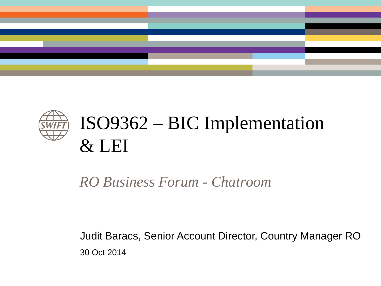



# ISO9362 – BIC Implementation & LEI

#### *RO Business Forum - Chatroom*

Judit Baracs, Senior Account Director, Country Manager RO 30 Oct 2014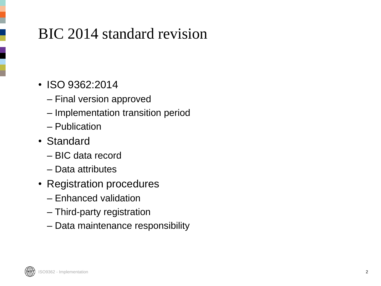### BIC 2014 standard revision

- ISO 9362:2014
	- Final version approved
	- Implementation transition period
	- Publication
- Standard
	- BIC data record
	- Data attributes
- Registration procedures
	- Enhanced validation
	- Third-party registration
	- Data maintenance responsibility

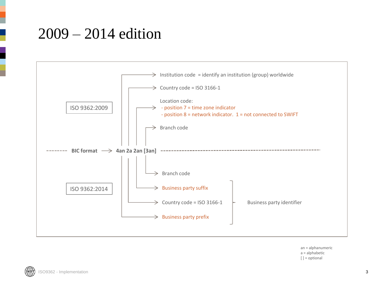#### 2009 – 2014 edition



an = alphanumeric a = alphabetic  $[$   $]$  = optional

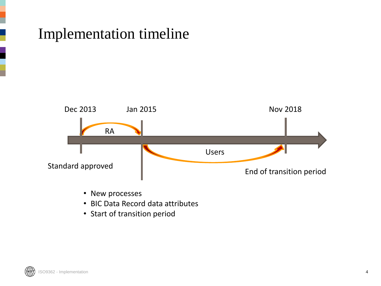#### Implementation timeline



- New processes
- BIC Data Record data attributes
- Start of transition period

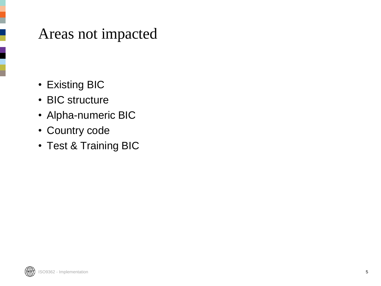#### Areas not impacted

- Existing BIC
- BIC structure
- Alpha-numeric BIC
- Country code
- Test & Training BIC

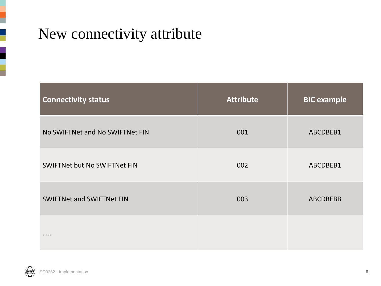#### New connectivity attribute

| <b>Connectivity status</b>          | <b>Attribute</b> | <b>BIC</b> example |
|-------------------------------------|------------------|--------------------|
| No SWIFTNet and No SWIFTNet FIN     | 001              | ABCDBEB1           |
| <b>SWIFTNet but No SWIFTNet FIN</b> | 002              | ABCDBEB1           |
| <b>SWIFTNet and SWIFTNet FIN</b>    | 003              | <b>ABCDBEBB</b>    |
|                                     |                  |                    |

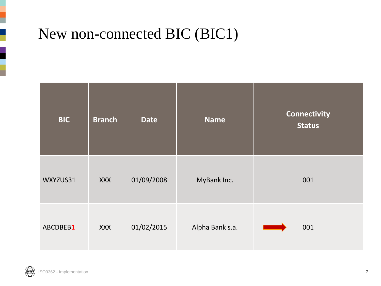#### New non-connected BIC (BIC1)

| <b>BIC</b> | <b>Branch</b> | <b>Date</b> | <b>Name</b>     | <b>Connectivity</b><br><b>Status</b> |
|------------|---------------|-------------|-----------------|--------------------------------------|
| WXYZUS31   | <b>XXX</b>    | 01/09/2008  | MyBank Inc.     | 001                                  |
| ABCDBEB1   | <b>XXX</b>    | 01/02/2015  | Alpha Bank s.a. | 001                                  |

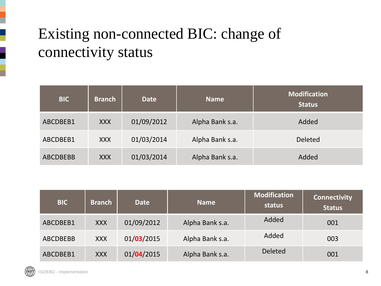## Existing non-connected BIC: change of connectivity status

| <b>BIC</b>      | <b>Branch</b> | <b>Date</b> | <b>Name</b>     | <b>Modification</b><br><b>Status</b> |
|-----------------|---------------|-------------|-----------------|--------------------------------------|
| ABCDBEB1        | <b>XXX</b>    | 01/09/2012  | Alpha Bank s.a. | Added                                |
| ABCDBEB1        | <b>XXX</b>    | 01/03/2014  | Alpha Bank s.a. | <b>Deleted</b>                       |
| <b>ABCDBEBB</b> | <b>XXX</b>    | 01/03/2014  | Alpha Bank s.a. | Added                                |

| <b>BIC</b>      | <b>Branch</b> | <b>Date</b> | <b>Name</b>     | <b>Modification</b><br>status | <b>Connectivity</b><br><b>Status</b> |
|-----------------|---------------|-------------|-----------------|-------------------------------|--------------------------------------|
| ABCDBEB1        | <b>XXX</b>    | 01/09/2012  | Alpha Bank s.a. | Added                         | 001                                  |
| <b>ABCDBEBB</b> | <b>XXX</b>    | 01/03/2015  | Alpha Bank s.a. | Added                         | 003                                  |
| ABCDBEB1        | <b>XXX</b>    | 01/04/2015  | Alpha Bank s.a. | <b>Deleted</b>                | 001                                  |



I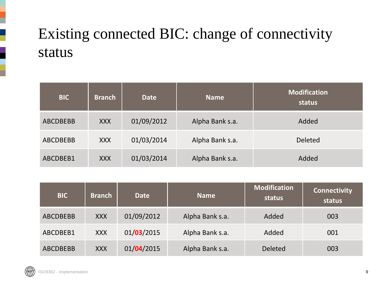## Existing connected BIC: change of connectivity status

| <b>BIC</b>      | <b>Branch</b> | <b>Date</b> | <b>Name</b>     | <b>Modification</b><br>status |
|-----------------|---------------|-------------|-----------------|-------------------------------|
| <b>ABCDBEBB</b> | <b>XXX</b>    | 01/09/2012  | Alpha Bank s.a. | Added                         |
| <b>ABCDBEBB</b> | <b>XXX</b>    | 01/03/2014  | Alpha Bank s.a. | <b>Deleted</b>                |
| ABCDBEB1        | <b>XXX</b>    | 01/03/2014  | Alpha Bank s.a. | Added                         |

| <b>BIC</b>      | <b>Branch</b> | <b>Date</b> | <b>Name</b>     | <b>Modification</b><br>status | <b>Connectivity</b><br>status |
|-----------------|---------------|-------------|-----------------|-------------------------------|-------------------------------|
| <b>ABCDBEBB</b> | <b>XXX</b>    | 01/09/2012  | Alpha Bank s.a. | Added                         | 003                           |
| ABCDBEB1        | <b>XXX</b>    | 01/03/2015  | Alpha Bank s.a. | Added                         | 001                           |
| <b>ABCDBEBB</b> | <b>XXX</b>    | 01/04/2015  | Alpha Bank s.a. | <b>Deleted</b>                | 003                           |

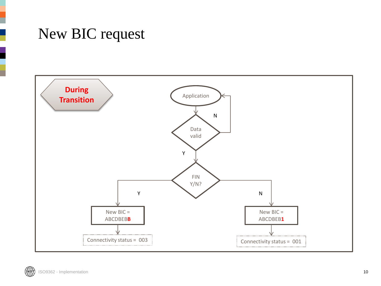#### New BIC request

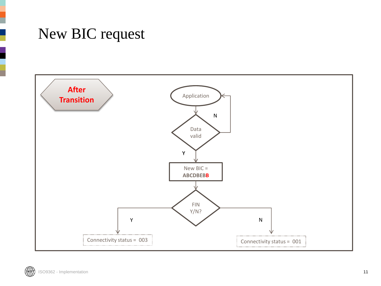#### New BIC request



(SWIFT) ISO9362 - Implementation 11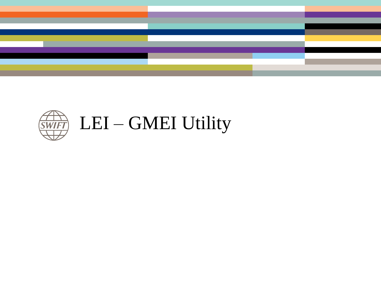

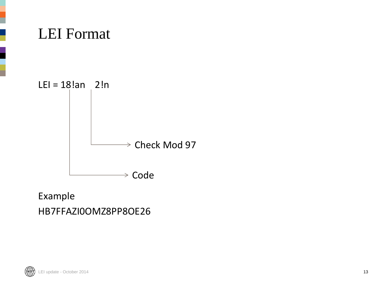

#### Example HB7FFAZI0OMZ8PP8OE26

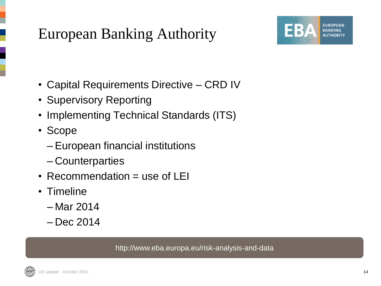### European Banking Authority



- Capital Requirements Directive CRD IV
- Supervisory Reporting
- Implementing Technical Standards (ITS)
- Scope
	- European financial institutions
	- Counterparties
- Recommendation = use of LEI
- Timeline
	- Mar 2014
	- Dec 2014

http://www.eba.europa.eu/risk-analysis-and-data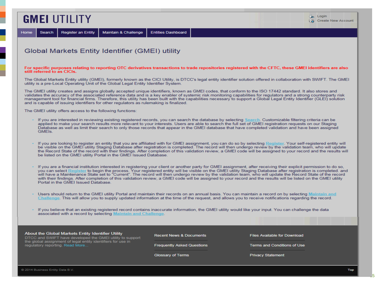#### **GMEI UTILITY**

Search Home

**Register an Entity** Maintain & Challenge

**Entities Dashboard** 

#### Global Markets Entity Identifier (GMEI) utility

#### For specific purposes relating to reporting OTC derivatives transactions to trade repositories registered with the CFTC, these GMEI identifiers are also still referred to as CICIs.

The Global Markets Entity utility (GMEI), formerly known as the CICI Utility, is DTCC's legal entity identifier solution offered in collaboration with SWIFT. The GMEI utility is a pre-Local Operating Unit of the Global Legal Entity Identifier System.

The GMEI utility creates and assigns globally accepted unique identifiers, known as GMEI codes, that conform to the ISO 17442 standard. It also stores and validates the accuracy of the associated reference data and is a key enabler of systemic risk monitoring capabilities for regulators and a strong counterparty risk management tool for financial firms. Therefore, this utility has been built with the capabilities necessary to support a Global Legal Entity Identifier (GLEI) solution and is capable of issuing identifiers for other regulators as rulemaking is finalized.

The GMEI utility offers access to the following functions:

- If you are interested in reviewing existing registered records, you can search the database by selecting Search. Customizable filtering criteria can be applied to make your search results more relevant to your interests. Users are able to search the full set of GMEI registration requests on our Staging Database as well as limit their search to only those records that appear in the GMEI database that have completed validation and have been assigned GMEIs.
- If you are looking to register an entity that you are affiliated with for GMEI assignment, you can do so by selecting Register. Your self-registered entity will be visible on the GMEI utility Staging Database after registration is completed. The record will then undergo review by the validation team, who will update the Record State of the record with their findings. After completion of this validation review, a GMEI code will be assigned to your record and the results will be listed on the GMEI utility Portal in the GMEI Issued Database.
- If you are a financial institution interested in registering your client or another party for GMEI assignment, after receiving their explicit permission to do so, vou can select Register to begin the process. Your registered entity will be visible on the GMEI utility Staging Database after registration is completed, and will have a Maintenance State set to "Current". The record will then undergo review by the validation team, who will update the Record State of the record with their findings. After completion of this validation review, a GMEI code will be assigned to your record and the results will be listed on the GMEI utility Portal in the GMEI Issued Database.
- Users should return to the GMEI utility Portal and maintain their records on an annual basis. You can maintain a record on by selecting Maintain and Challenge. This will allow you to supply updated information at the time of the request, and allows you to receive notifications regarding the record.
- If you believe that an existing registered record contains inaccurate information, the GMEI utility would like your input. You can challenge the data associated with a record by selecting Maintain and Challenge.

#### About the Global Markets Entity Identifier Utility

DTCC and SWIFT have developed the GMEI utility to support the global assignment of legal entity identifiers for use in regulatory reporting. Read More..

**Recent News & Documents** 

**Frequently Asked Questions** 

**Glossary of Terms** 

**Files Available for Download** 

**Terms and Conditions of Use** 

**Privacy Statement** 

15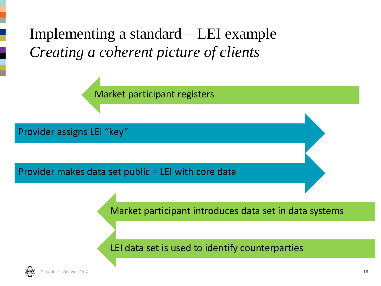Implementing a standard – LEI example *Creating a coherent picture of clients*

Market participant registers

Provider assigns LEI "key"

Provider makes data set public = LEI with core data

Market participant introduces data set in data systems

LEI data set is used to identify counterparties

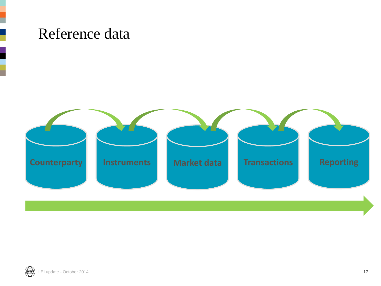#### Reference data